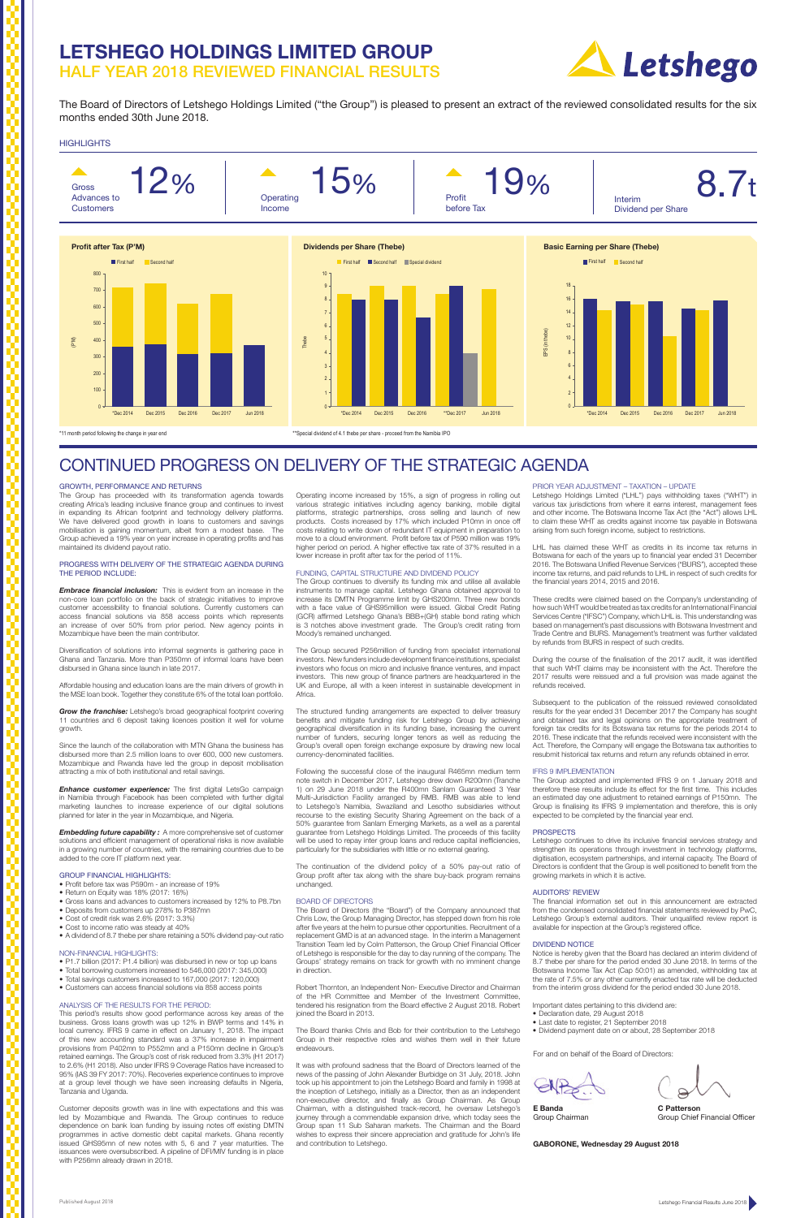The Board of Directors of Letshego Holdings Limited ("the Group") is pleased to present an extract of the reviewed consolidated results for the six months ended 30th June 2018.

## **HIGHLIGHTS**

# **LETSHEGO HOLDINGS LIMITED GROUP**  HALF YEAR 2018 REVIEWED FINANCIAL RESULTS



#### GROWTH, PERFORMANCE AND RETURNS

The Group has proceeded with its transformation agenda towards creating Africa's leading inclusive finance group and continues to invest in expanding its African footprint and technology delivery platforms. We have delivered good growth in loans to customers and savings mobilisation is gaining momentum, albeit from a modest base. The Group achieved a 19% year on year increase in operating profits and has maintained its dividend payout ratio.

#### PROGRESS WITH DELIVERY OF THE STRATEGIC AGENDA DURING THE PERIOD INCLUDE:

*Embedding future capability :* A more comprehensive set of customer solutions and efficient management of operational risks is now available in a growing number of countries, with the remaining countries due to be added to the core IT platform next year.

*Embrace financial inclusion:* This is evident from an increase in the non-core loan portfolio on the back of strategic initiatives to improve customer accessibility to financial solutions. Currently customers can access financial solutions via 858 access points which represents an increase of over 50% from prior period. New agency points in Mozambique have been the main contributor.

Diversification of solutions into informal segments is gathering pace in Ghana and Tanzania. More than P350mn of informal loans have been disbursed in Ghana since launch in late 2017.

Affordable housing and education loans are the main drivers of growth in the MSE loan book. Together they constitute 6% of the total loan portfolio.

*Grow the franchise:* Letshego's broad geographical footprint covering 11 countries and 6 deposit taking licences position it well for volume growth.

Since the launch of the collaboration with MTN Ghana the business has disbursed more than 2.5 million loans to over 600, 000 new customers. Mozambique and Rwanda have led the group in deposit mobilisation attracting a mix of both institutional and retail savings.

*Enhance customer experience:* The first digital LetsGo campaign in Namibia through Facebook has been completed with further digital marketing launches to increase experience of our digital solutions planned for later in the year in Mozambique, and Nigeria.

#### GROUP FINANCIAL HIGHLIGHTS:

- Profit before tax was P590m an increase of 19%
- Return on Equity was 18% (2017: 16%)
- Gross loans and advances to customers increased by 12% to P8.7bn • Deposits from customers up 278% to P387mn
- Cost of credit risk was 2.6% (2017: 3.3%)
- Cost to income ratio was steady at 40%
- 
- A dividend of 8.7 thebe per share retaining a 50% dividend pay-out ratio

#### NON-FINANCIAL HIGHLIGHTS: • P1.7 billion (2017: P1.4 billion) was disbursed in new or top up loans

- Total borrowing customers increased to 546,000 (2017: 345,000)
- Total savings customers increased to 167,000 (2017: 120,000)
- Customers can access financial solutions via 858 access points

#### ANALYSIS OF THE RESULTS FOR THE PERIOD:

This period's results show good performance across key areas of the business. Gross loans growth was up 12% in BWP terms and 14% in local currency. IFRS 9 came in effect on January 1, 2018. The impact of this new accounting standard was a 37% increase in impairment provisions from P402mn to P552mn and a P150mn decline in Group's retained earnings. The Group's cost of risk reduced from 3.3% (H1 2017) to 2.6% (H1 2018). Also under IFRS 9 Coverage Ratios have increased to 95% (IAS 39 FY 2017: 70%). Recoveries experience continues to improve at a group level though we have seen increasing defaults in Nigeria, Tanzania and Uganda.

The Group secured P256million of funding from specialist international investors. New funders include development finance institutions, specialist investors who focus on micro and inclusive finance ventures, and impact investors. This new group of finance partners are headquartered in the UK and Europe, all with a keen interest in sustainable development in **Africa** 

Customer deposits growth was in line with expectations and this was led by Mozambique and Rwanda. The Group continues to reduce dependence on bank loan funding by issuing notes off existing DMTN programmes in active domestic debt capital markets. Ghana recently issued GHS95mn of new notes with 5, 6 and 7 year maturities. The issuances were oversubscribed. A pipeline of DFI/MIV funding is in place with P256mn already drawn in 2018.

#### PRIOR YEAR ADJUSTMENT – TAXATION – UPDATE

Letshego Holdings Limited ("LHL") pays withholding taxes ("WHT") in various tax jurisdictions from where it earns interest, management fees and other income. The Botswana Income Tax Act (the "Act") allows LHL to claim these WHT as credits against income tax payable in Botswana arising from such foreign income, subject to restrictions.

LHL has claimed these WHT as credits in its income tax returns in Botswana for each of the years up to financial year ended 31 December 2016. The Botswana Unified Revenue Services ("BURS"), accepted these income tax returns, and paid refunds to LHL in respect of such credits for the financial years 2014, 2015 and 2016.

These credits were claimed based on the Company's understanding of how such WHT would be treated as tax credits for an International Financial Services Centre ("IFSC") Company, which LHL is. This understanding was based on management's past discussions with Botswana Investment and Trade Centre and BURS. Management's treatment was further validated by refunds from BURS in respect of such credits.

During the course of the finalisation of the 2017 audit, it was identified that such WHT claims may be inconsistent with the Act. Therefore the 2017 results were reissued and a full provision was made against the refunds received.

Subsequent to the publication of the reissued reviewed consolidated results for the year ended 31 December 2017 the Company has sought and obtained tax and legal opinions on the appropriate treatment of foreign tax credits for its Botswana tax returns for the periods 2014 to 2016. These indicate that the refunds received were inconsistent with the Act. Therefore, the Company will engage the Botswana tax authorities to resubmit historical tax returns and return any refunds obtained in error.



#### IFRS 9 IMPLEMENTATION

The Group adopted and implemented IFRS 9 on 1 January 2018 and therefore these results include its effect for the first time. This includes an estimated day one adjustment to retained earnings of P150mn. The Group is finalising its IFRS 9 implementation and therefore, this is only expected to be completed by the financial year end.

#### **PROSPECTS**

Letshego continues to drive its inclusive financial services strategy and strengthen its operations through investment in technology platforms, digitisation, ecosystem partnerships, and internal capacity. The Board of Directors is confident that the Group is well positioned to benefit from the growing markets in which it is active.

## AUDITORS' REVIEW

The financial information set out in this announcement are extracted from the condensed consolidated financial statements reviewed by PwC, Letshego Group's external auditors. Their unqualified review report is available for inspection at the Group's registered office.

#### DIVIDEND NOTICE

Notice is hereby given that the Board has declared an interim dividend of 8.7 thebe per share for the period ended 30 June 2018. In terms of the

Botswana Income Tax Act (Cap 50:01) as amended, withholding tax at the rate of 7.5% or any other currently enacted tax rate will be deducted from the interim gross dividend for the period ended 30 June 2018.

Important dates pertaining to this dividend are:

- Declaration date, 29 August 2018
- Last date to register, 21 September 2018
- Dividend payment date on or about, 28 September 2018

Operating income increased by 15%, a sign of progress in rolling out various strategic initiatives including agency banking, mobile digital platforms, strategic partnerships, cross selling and launch of new products. Costs increased by 17% which included P10mn in once off costs relating to write down of redundant IT equipment in preparation to move to a cloud environment. Profit before tax of P590 million was 19% higher period on period. A higher effective tax rate of 37% resulted in a lower increase in profit after tax for the period of 11%.

#### FUNDING, CAPITAL STRUCTURE AND DIVIDEND POLICY

The Group continues to diversify its funding mix and utilise all available instruments to manage capital. Letshego Ghana obtained approval to increase its DMTN Programme limit by GHS200mn. Three new bonds with a face value of GHS95million were issued. Global Credit Rating (GCR) affirmed Letshego Ghana's BBB+(GH) stable bond rating which 3 notches above investment grade. The Group's credit rating from Moody's remained unchanged.

The structured funding arrangements are expected to deliver treasury benefits and mitigate funding risk for Letshego Group by achieving geographical diversification in its funding base, increasing the current number of funders, securing longer tenors as well as reducing the Group's overall open foreign exchange exposure by drawing new local currency-denominated facilities.

Following the successful close of the inaugural R465mn medium term note switch in December 2017, Letshego drew down R200mn (Tranche 1) on 29 June 2018 under the R400mn Sanlam Guaranteed 3 Year Multi-Jurisdiction Facility arranged by RMB. RMB was able to lend to Letshego's Namibia, Swaziland and Lesotho subsidiaries without recourse to the existing Security Sharing Agreement on the back of a 50% guarantee from Sanlam Emerging Markets, as a well as a parental guarantee from Letshego Holdings Limited. The proceeds of this facility will be used to repay inter group loans and reduce capital inefficiencies, particularly for the subsidiaries with little or no external gearing.

The continuation of the dividend policy of a 50% pay-out ratio of Group profit after tax along with the share buy-back program remains unchanged.

#### BOARD OF DIRECTORS

The Board of Directors (the "Board") of the Company announced that Chris Low, the Group Managing Director, has stepped down from his role after five years at the helm to pursue other opportunities. Recruitment of a replacement GMD is at an advanced stage. In the interim a Management Transition Team led by Colm Patterson, the Group Chief Financial Officer of Letshego is responsible for the day to day running of the company. The Groups' strategy remains on track for growth with no imminent change

in direction.

Robert Thornton, an Independent Non- Executive Director and Chairman of the HR Committee and Member of the Investment Committee, tendered his resignation from the Board effective 2 August 2018. Robert joined the Board in 2013.

The Board thanks Chris and Bob for their contribution to the Letshego Group in their respective roles and wishes them well in their future endeavours.

It was with profound sadness that the Board of Directors learned of the news of the passing of John Alexander Burbidge on 31 July, 2018. John took up his appointment to join the Letshego Board and family in 1998 at the inception of Letshego, initially as a Director, then as an independent non-executive director, and finally as Group Chairman. As Group Chairman, with a distinguished track-record, he oversaw Letshego's journey through a commendable expansion drive, which today sees the Group span 11 Sub Saharan markets. The Chairman and the Board wishes to express their sincere appreciation and gratitude for John's life and contribution to Letshego.

# CONTINUED PROGRESS ON DELIVERY OF THE STRATEGIC AGENDA

#### For and on behalf of the Board of Directors:





**E Banda C Patterson**<br>Group Chairman **C Patters C** Group Chief Group Chief Financial Officer

**GABORONE, Wednesday 29 August 2018**

\*11 month period following the change in year end \*\*Special dividend of 4.1 thebe per share - proceed from the Namibia IPO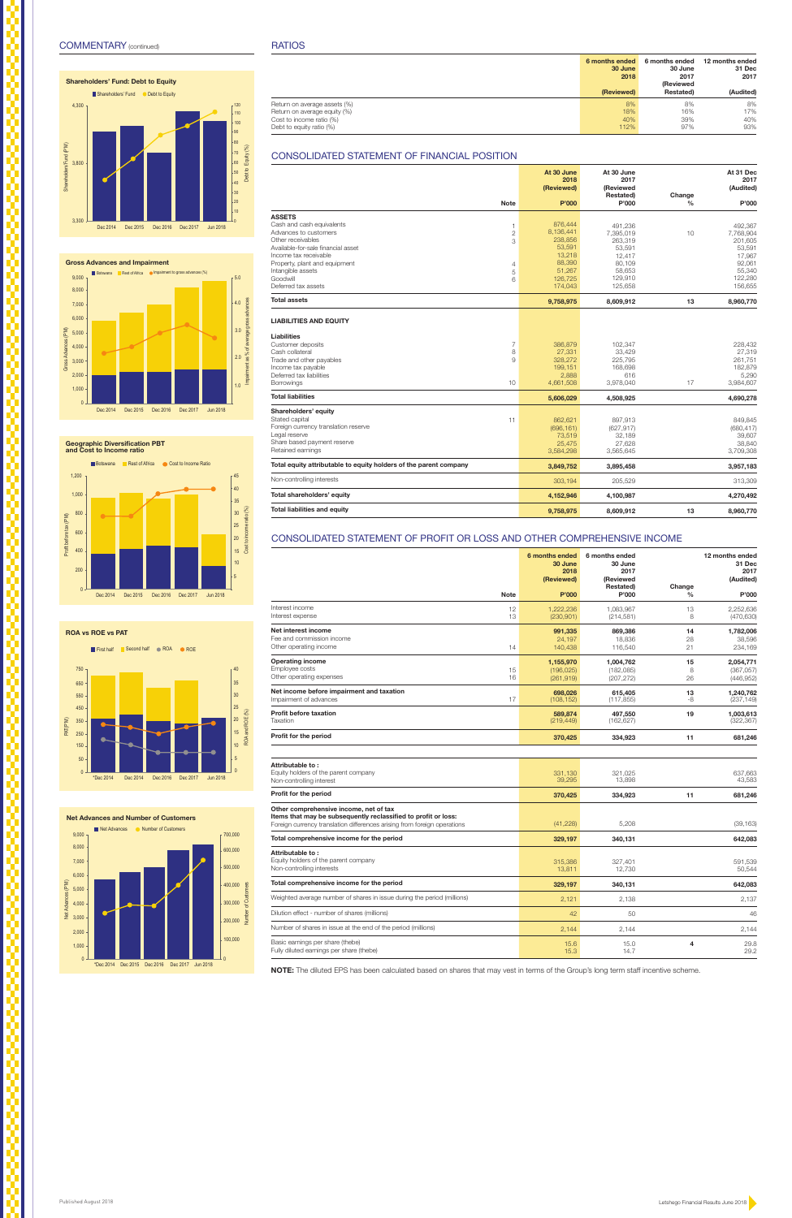|                                                                              | 6 months ended<br>30 June<br>2018<br>(Reviewed) | 6 months ended<br>30 June<br>2017<br><b>(Reviewed</b> |                         | 12 months ended<br>31 Dec<br>2017<br>(Audited) |
|------------------------------------------------------------------------------|-------------------------------------------------|-------------------------------------------------------|-------------------------|------------------------------------------------|
| <b>Note</b>                                                                  | P'000                                           | <b>Restated)</b><br>P'000                             | Change<br>$\frac{0}{0}$ | P'000                                          |
| Interest income<br>12                                                        | 1,222,236                                       | 1,083,967                                             | 13                      | 2,252,636                                      |
| Interest expense<br>13                                                       | (230, 901)                                      | (214, 581)                                            | 8                       | (470, 630)                                     |
| Net interest income                                                          | 991,335                                         | 869,386                                               | 14                      | 1,782,006                                      |
| Fee and commission income                                                    | 24,197                                          | 18,836                                                | 28                      | 38,596                                         |
| Other operating income<br>14                                                 | 140,438                                         | 116,540                                               | 21                      | 234,169                                        |
| <b>Operating income</b>                                                      | 1,155,970                                       | 1,004,762                                             | 15                      | 2,054,771                                      |
| Employee costs<br>15                                                         | (196, 025)                                      | (182, 085)                                            | 8                       | (367, 057)                                     |
| Other operating expenses<br>16                                               | (261, 919)                                      | (207, 272)                                            | 26                      | (446, 952)                                     |
| Net income before impairment and taxation                                    | 698,026                                         | 615,405                                               | 13                      | 1,240,762                                      |
| 17<br>Impairment of advances                                                 | (108, 152)                                      | (117, 855)                                            | -8                      | (237, 149)                                     |
| <b>Profit before taxation</b>                                                | 589,874                                         | 497,550                                               | 19                      | 1,003,613                                      |
| Taxation                                                                     | (219, 449)                                      | (162, 627)                                            |                         | (322, 367)                                     |
| Profit for the period                                                        | 370,425                                         | 334,923                                               | 11                      | 681,246                                        |
| Attributable to:                                                             |                                                 |                                                       |                         |                                                |
| Equity holders of the parent company<br>Non-controlling interest             | 331.130<br>39,295                               | 321,025<br>13,898                                     |                         | 637,663<br>43,583                              |
| Profit for the period                                                        | 370,425                                         | 334,923                                               | 11                      | 681,246                                        |
| Other comprehensive income, net of tax                                       |                                                 |                                                       |                         |                                                |
| Items that may be subsequently reclassified to profit or loss:               |                                                 |                                                       |                         |                                                |
| Foreign currency translation differences arising from foreign operations     | (41, 228)                                       | 5,208                                                 |                         | (39, 163)                                      |
| Total comprehensive income for the period                                    | 329,197                                         | 340,131                                               |                         | 642,083                                        |
| Attributable to:                                                             |                                                 |                                                       |                         |                                                |
| Equity holders of the parent company                                         | 315,386                                         | 327,401                                               |                         | 591,539                                        |
| Non-controlling interests                                                    | 13,811                                          | 12,730                                                |                         | 50,544                                         |
| Total comprehensive income for the period                                    | 329,197                                         | 340,131                                               |                         | 642,083                                        |
| Weighted average number of shares in issue during the period (millions)      | 2,121                                           | 2,138                                                 |                         | 2,137                                          |
| Dilution effect - number of shares (millions)                                | 42                                              | 50                                                    |                         | 46                                             |
| Number of shares in issue at the end of the period (millions)                | 2,144                                           | 2,144                                                 |                         | 2,144                                          |
| Basic earnings per share (thebe)<br>Fully diluted earnings per share (thebe) | 15.6<br>15.3                                    | 15.0<br>14.7                                          | 4                       | 29.8<br>29.2                                   |

# CONSOLIDATED STATEMENT OF PROFIT OR LOSS AND OTHER COMPREHENSIVE INCOME



## **Shareholders' Fund: Debt to Equity**



**Geographic Diversification PBT and Cost to Income ratio**





### **Net Advances and Number of Customers** Net Advances 
<br>
In Number of Customers 9,000



|                              | 6 months ended<br>30 June<br>2018 | 6 months ended<br>30 June<br>2017 | 12 months ended<br>31 Dec<br>2017 |
|------------------------------|-----------------------------------|-----------------------------------|-----------------------------------|
|                              |                                   | (Reviewed                         |                                   |
|                              | (Reviewed)                        | Restated)                         | (Audited)                         |
| Return on average assets (%) | 8%                                | 8%                                | 8%                                |
| Return on average equity (%) | 18%                               | 16%                               | 17%                               |
| Cost to income ratio (%)     | 40%                               | 39%                               | 40%                               |
| Debt to equity ratio (%)     | 112%                              | 97%                               | 93%                               |

|                                                                   | At 30 June<br>2018<br>(Reviewed) | At 30 June<br>2017<br><b>(Reviewed</b> |                         | At 31 Dec<br>2017<br>(Audited) |
|-------------------------------------------------------------------|----------------------------------|----------------------------------------|-------------------------|--------------------------------|
| <b>Note</b>                                                       | P'000                            | Restated)<br>P'000                     | Change<br>$\frac{0}{0}$ | P'000                          |
| <b>ASSETS</b>                                                     |                                  |                                        |                         |                                |
| Cash and cash equivalents<br>1                                    | 876,444                          | 491.236                                |                         | 492.367                        |
| Advances to customers<br>$\overline{c}$                           | 8,136,441                        | 7,395,019                              | 10                      | 7,768,904                      |
| Other receivables<br>3                                            | 238,856                          | 263,319                                |                         | 201,605                        |
| Available-for-sale financial asset                                | 53,591                           | 53,591                                 |                         | 53,591                         |
| Income tax receivable                                             | 13,218                           | 12,417                                 |                         | 17,967                         |
| Property, plant and equipment<br>$\overline{4}$                   | 88,390                           | 80,109                                 |                         | 92,061                         |
| Intangible assets<br>5                                            | 51,267                           | 58,653                                 |                         | 55,340                         |
| Goodwill<br>6                                                     | 126,725                          | 129,910                                |                         | 122,280                        |
| Deferred tax assets                                               | 174,043                          | 125,658                                |                         | 156,655                        |
| <b>Total assets</b>                                               | 9,758,975                        | 8,609,912                              | 13                      | 8,960,770                      |
| <b>LIABILITIES AND EQUITY</b>                                     |                                  |                                        |                         |                                |
| Liabilities                                                       |                                  |                                        |                         |                                |
| Customer deposits<br>$\overline{7}$                               | 386,879                          | 102,347                                |                         | 228,432                        |
| Cash collateral<br>8                                              | 27,331                           | 33,429                                 |                         | 27,319                         |
| 9<br>Trade and other payables                                     | 328,272                          | 225,795                                |                         | 261,751                        |
| Income tax payable                                                | 199,151                          | 168,698                                |                         | 182,879                        |
| Deferred tax liabilities                                          | 2,888                            | 616                                    |                         | 5,290                          |
| Borrowings<br>10                                                  | 4,661,508                        | 3,978,040                              | 17                      | 3,984,607                      |
| <b>Total liabilities</b>                                          | 5,606,029                        | 4,508,925                              |                         | 4,690,278                      |
| Shareholders' equity                                              |                                  |                                        |                         |                                |
| Stated capital<br>11                                              | 862,621                          | 897,913                                |                         | 849,845                        |
| Foreign currency translation reserve                              | (696, 161)                       | (627, 917)                             |                         | (680, 417)                     |
| Legal reserve                                                     | 73,519                           | 32,189                                 |                         | 39,607                         |
| Share based payment reserve                                       | 25.475                           | 27.628                                 |                         | 38,840                         |
| Retained earnings                                                 | 3,584,298                        | 3,565,645                              |                         | 3,709,308                      |
| Total equity attributable to equity holders of the parent company | 3,849,752                        | 3,895,458                              |                         | 3,957,183                      |
| Non-controlling interests                                         | 303,194                          | 205,529                                |                         | 313,309                        |
| Total shareholders' equity                                        | 4,152,946                        | 4,100,987                              |                         | 4,270,492                      |
| <b>Total liabilities and equity</b>                               | 9,758,975                        | 8,609,912                              | 13                      | 8,960,770                      |

# CONSOLIDATED STATEMENT OF FINANCIAL POSITION

**NOTE:** The diluted EPS has been calculated based on shares that may vest in terms of the Group's long term staff incentive scheme.

Published August 2018 Letshego Financial Results June 2018 Letshego Financial Results June 2018

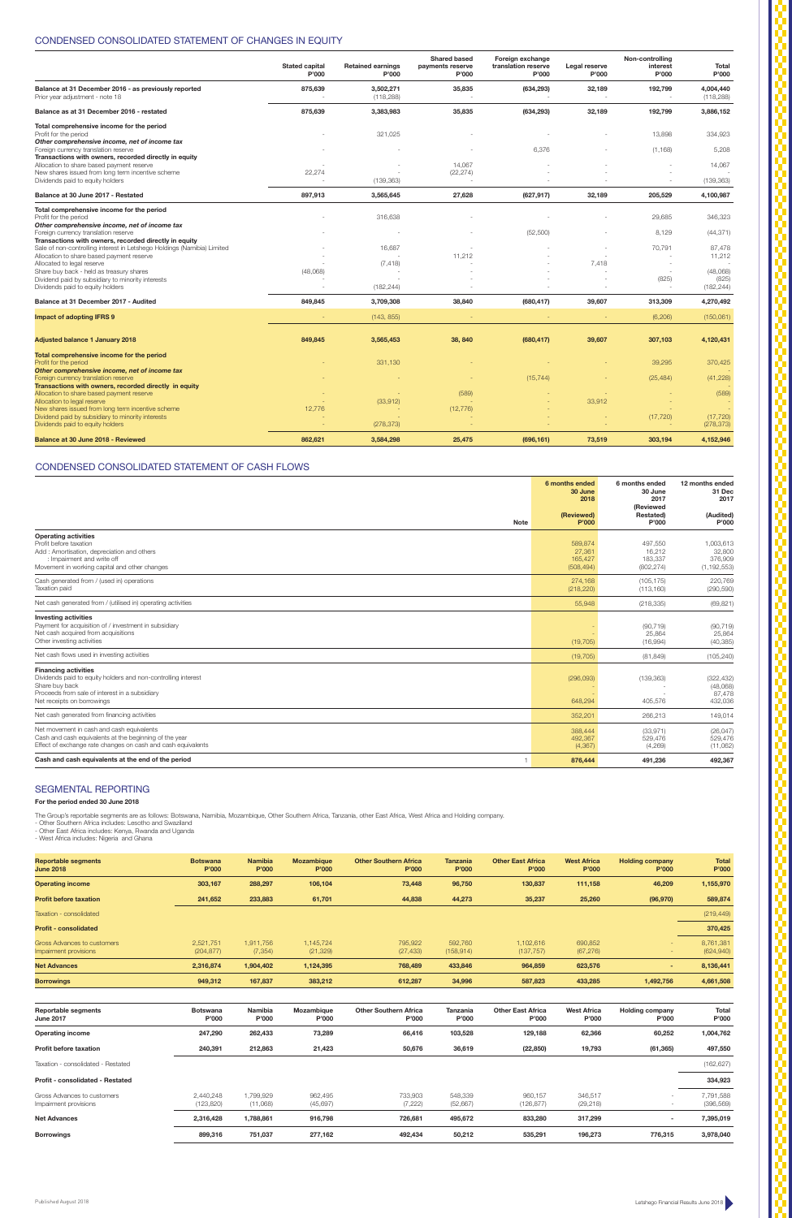|                                                                                                                                                                                                | 6 months ended<br>30 June<br>2018          | 6 months ended<br>30 June<br>2017<br>(Reviewed | 12 months ended<br>31 Dec<br>2017               |
|------------------------------------------------------------------------------------------------------------------------------------------------------------------------------------------------|--------------------------------------------|------------------------------------------------|-------------------------------------------------|
| <b>Note</b>                                                                                                                                                                                    | (Reviewed)<br>P'000                        | Restated)<br>P'000                             | (Audited)<br>P'000                              |
| <b>Operating activities</b><br>Profit before taxation<br>Add: Amortisation, depreciation and others<br>: Impairment and write off<br>Movement in working capital and other changes             | 589,874<br>27,361<br>165,427<br>(508, 494) | 497,550<br>16,212<br>183,337<br>(802, 274)     | 1,003,613<br>32,800<br>376,909<br>(1, 192, 553) |
| Cash generated from / (used in) operations<br>Taxation paid                                                                                                                                    | 274.168<br>(218, 220)                      | (105, 175)<br>(113, 160)                       | 220,769<br>(290, 590)                           |
| Net cash generated from / (utilised in) operating activities                                                                                                                                   | 55,948                                     | (218, 335)                                     | (69, 821)                                       |
| <b>Investing activities</b><br>Payment for acquisition of / investment in subsidiary<br>Net cash acquired from acquisitions<br>Other investing activities                                      | (19, 705)                                  | (90, 719)<br>25,864<br>(16,994)                | (90, 719)<br>25,864<br>(40, 385)                |
| Net cash flows used in investing activities                                                                                                                                                    | (19, 705)                                  | (81, 849)                                      | (105, 240)                                      |
| <b>Financing activities</b><br>Dividends paid to equity holders and non-controlling interest<br>Share buy back<br>Proceeds from sale of interest in a subsidiary<br>Net receipts on borrowings | (296,093)<br>648,294                       | (139, 363)<br>405,576                          | (322, 432)<br>(48,068)<br>87,478<br>432,036     |
| Net cash generated from financing activities                                                                                                                                                   | 352,201                                    | 266,213                                        | 149,014                                         |
| Net movement in cash and cash equivalents<br>Cash and cash equivalents at the beginning of the year<br>Effect of exchange rate changes on cash and cash equivalents                            | 388,444<br>492,367<br>(4,367)              | (33, 971)<br>529,476<br>(4,269)                | (26, 047)<br>529,476<br>(11,062)                |
| Cash and cash equivalents at the end of the period                                                                                                                                             | 876,444                                    | 491,236                                        | 492,367                                         |

# CONDENSED CONSOLIDATED STATEMENT OF CASH FLOWS

## SEGMENTAL REPORTING

**For the period ended 30 June 2018**

The Group's reportable segments are as follows: Botswana, Namibia, Mozambique, Other Southern Africa, Tanzania, other East Africa, West Africa and Holding company.<br>- Other Southern Africa includes: Lesotho and Swaziland<br>-

|  | - vvest Airica includes: Nigeria and Griana |  |  |
|--|---------------------------------------------|--|--|
|  |                                             |  |  |

|                                                                                                                                                                               | <b>Stated capital</b><br>P'000 | <b>Retained earnings</b><br>P'000 | <b>Shared based</b><br>payments reserve<br>P'000 | Foreign exchange<br>translation reserve<br>P'000 | Legal reserve<br>P'000 | Non-controlling<br>interest<br>P'000 | <b>Total</b><br>P'000           |
|-------------------------------------------------------------------------------------------------------------------------------------------------------------------------------|--------------------------------|-----------------------------------|--------------------------------------------------|--------------------------------------------------|------------------------|--------------------------------------|---------------------------------|
| Balance at 31 December 2016 - as previously reported<br>Prior year adjustment - note 18                                                                                       | 875,639                        | 3,502,271<br>(118, 288)           | 35,835                                           | (634, 293)                                       | 32,189                 | 192,799                              | 4,004,440<br>(118, 288)         |
| Balance as at 31 December 2016 - restated                                                                                                                                     | 875,639                        | 3,383,983                         | 35,835                                           | (634, 293)                                       | 32,189                 | 192,799                              | 3,886,152                       |
| Total comprehensive income for the period<br>Profit for the period<br>Other comprehensive income, net of income tax                                                           |                                | 321,025                           |                                                  |                                                  |                        | 13,898                               | 334,923                         |
| Foreign currency translation reserve                                                                                                                                          |                                |                                   |                                                  | 6,376                                            |                        | (1, 168)                             | 5,208                           |
| Transactions with owners, recorded directly in equity<br>Allocation to share based payment reserve<br>New shares issued from long term incentive scheme                       | 22,274                         |                                   | 14,067<br>(22, 274)                              |                                                  |                        |                                      | 14,067                          |
| Dividends paid to equity holders                                                                                                                                              |                                | (139, 363)                        |                                                  |                                                  |                        | $\overline{\phantom{a}}$             | (139, 363)                      |
| Balance at 30 June 2017 - Restated                                                                                                                                            | 897,913                        | 3,565,645                         | 27,628                                           | (627, 917)                                       | 32,189                 | 205,529                              | 4,100,987                       |
| Total comprehensive income for the period<br>Profit for the period<br>Other comprehensive income, net of income tax                                                           |                                | 316,638                           |                                                  |                                                  |                        | 29,685                               | 346,323                         |
| Foreign currency translation reserve                                                                                                                                          |                                |                                   |                                                  | (52, 500)                                        |                        | 8,129                                | (44, 371)                       |
| Transactions with owners, recorded directly in equity<br>Sale of non-controlling interest in Letshego Holdings (Namibia) Limited<br>Allocation to share based payment reserve |                                | 16,687                            | 11,212                                           |                                                  |                        | 70,791                               | 87,478<br>11,212                |
| Allocated to legal reserve<br>Share buy back - held as treasury shares<br>Dividend paid by subsidiary to minority interests<br>Dividends paid to equity holders               | (48,068)                       | (7, 418)<br>(182, 244)            |                                                  |                                                  | 7,418                  | $\sim$<br>(825)                      | (48,068)<br>(825)<br>(182, 244) |
| Balance at 31 December 2017 - Audited                                                                                                                                         | 849,845                        | 3,709,308                         | 38,840                                           | (680, 417)                                       | 39,607                 | 313,309                              | 4,270,492                       |
| <b>Impact of adopting IFRS 9</b>                                                                                                                                              |                                | (143, 855)                        |                                                  |                                                  |                        | (6, 206)                             | (150,061)                       |
| <b>Adjusted balance 1 January 2018</b>                                                                                                                                        | 849,845                        | 3,565,453                         | 38, 840                                          | (680, 417)                                       | 39,607                 | 307,103                              | 4,120,431                       |
| Total comprehensive income for the period<br>Profit for the period                                                                                                            |                                | 331,130                           |                                                  |                                                  |                        | 39,295                               | 370,425                         |
| Other comprehensive income, net of income tax<br>Foreign currency translation reserve<br>Transactions with owners, recorded directly in equity                                |                                |                                   |                                                  | (15, 744)                                        |                        | (25, 484)                            | (41, 228)                       |
| Allocation to share based payment reserve<br>Allocation to legal reserve                                                                                                      |                                | (33,912)                          | (589)                                            |                                                  | 33,912                 |                                      | (589)                           |
| New shares issued from long term incentive scheme<br>Dividend paid by subsidiary to minority interests<br>Dividends paid to equity holders                                    | 12,776                         | (278, 373)                        | (12, 776)                                        |                                                  |                        | (17, 720)                            | (17, 720)<br>(278, 373)         |
| Balance at 30 June 2018 - Reviewed                                                                                                                                            | 862,621                        | 3,584,298                         | 25,475                                           | (696, 161)                                       | 73,519                 | 303,194                              | 4,152,946                       |

| <b>Reportable segments</b><br><b>June 2018</b>       | <b>Botswana</b><br>P'000 | <b>Namibia</b><br>P'000 | <b>Mozambique</b><br>P'000 | <b>Other Southern Africa</b><br>P'000 | <b>Tanzania</b><br>P'000 | <b>Other East Africa</b><br>P'000 | <b>West Africa</b><br>P'000 | <b>Holding company</b><br>P'000 | <b>Total</b><br>P'000   |
|------------------------------------------------------|--------------------------|-------------------------|----------------------------|---------------------------------------|--------------------------|-----------------------------------|-----------------------------|---------------------------------|-------------------------|
| <b>Operating income</b>                              | 303,167                  | 288,297                 | 106,104                    | 73,448                                | 96,750                   | 130,837                           | 111,158                     | 46,209                          | 1,155,970               |
| <b>Profit before taxation</b>                        | 241,652                  | 233,883                 | 61,701                     | 44,838                                | 44,273                   | 35,237                            | 25,260                      | (96, 970)                       | 589,874                 |
| Taxation - consolidated                              |                          |                         |                            |                                       |                          |                                   |                             |                                 | (219, 449)              |
| <b>Profit - consolidated</b>                         |                          |                         |                            |                                       |                          |                                   |                             |                                 | 370,425                 |
| Gross Advances to customers<br>Impairment provisions | 2.521.751<br>(204, 877)  | 1,911,756<br>(7, 354)   | 1,145,724<br>(21, 329)     | 795,922<br>(27, 433)                  | 592,760<br>(158, 914)    | 1,102,616<br>(137, 757)           | 690,852<br>(67, 276)        | $\sim$                          | 8.761.381<br>(624, 940) |
| <b>Net Advances</b>                                  | 2,316,874                | 1,904,402               | 1,124,395                  | 768,489                               | 433,846                  | 964,859                           | 623,576                     | $\sim$                          | 8,136,441               |
| <b>Borrowings</b>                                    | 949,312                  | 167,837                 | 383,212                    | 612,287                               | 34,996                   | 587,823                           | 433,285                     | 1,492,756                       | 4,661,508               |
|                                                      |                          |                         |                            |                                       |                          |                                   |                             |                                 |                         |
| <b>Reportable segments</b><br><b>June 2017</b>       | <b>Botswana</b><br>P'000 | Namibia<br>P'000        | Mozambique<br>P'000        | <b>Other Southern Africa</b><br>P'000 | Tanzania<br>P'000        | <b>Other East Africa</b><br>P'000 | <b>West Africa</b><br>P'000 | <b>Holding company</b><br>P'000 | Total<br>P'000          |
| <b>Operating income</b>                              | 247,290                  | 262,433                 | 73,289                     | 66,416                                | 103,528                  | 129,188                           | 62,366                      | 60,252                          | 1,004,762               |
| <b>Profit before taxation</b>                        | 240,391                  | 212,863                 | 21,423                     | 50,676                                | 36,619                   | (22, 850)                         | 19,793                      | (61, 365)                       | 497,550                 |
| Taxation - consolidated - Restated                   |                          |                         |                            |                                       |                          |                                   |                             |                                 | (162, 627)              |
| Profit - consolidated - Restated                     |                          |                         |                            |                                       |                          |                                   |                             |                                 | 334,923                 |
| Gross Advances to customers<br>Impairment provisions | 2,440,248<br>(123, 820)  | 1,799,929<br>(11,068)   | 962,495<br>(45, 697)       | 733,903<br>(7, 222)                   | 548,339<br>(52, 667)     | 960,157<br>(126, 877)             | 346,517<br>(29, 218)        | ÷.                              | 7,791,588<br>(396, 569) |
| <b>Net Advances</b>                                  | 2,316,428                | 1,788,861               | 916,798                    | 726,681                               | 495,672                  | 833,280                           | 317,299                     | $\blacksquare$                  | 7,395,019               |
| <b>Borrowings</b>                                    | 899,316                  | 751,037                 | 277,162                    | 492,434                               | 50,212                   | 535,291                           | 196,273                     | 776,315                         | 3,978,040               |

# CONDENSED CONSOLIDATED STATEMENT OF CHANGES IN EQUITY